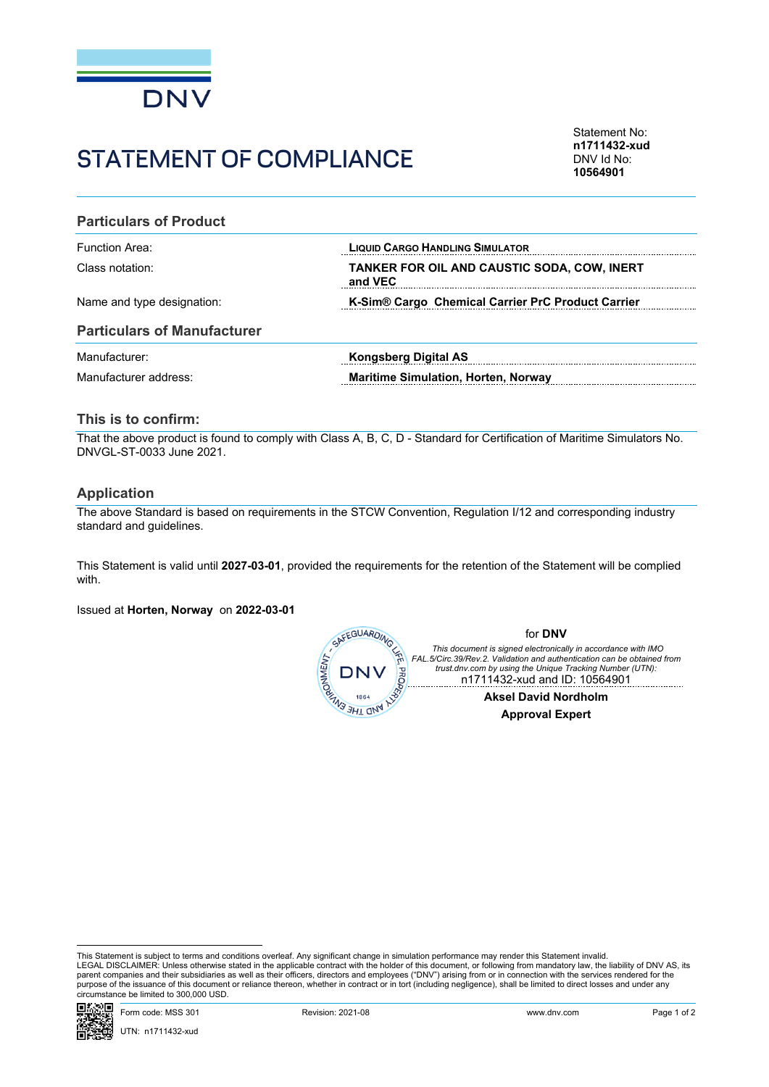

# STATEMENT OF COMPILANCE

Statement No: **n1711432-xud** DNV Id No: **10564901**

#### **Particulars of Product**

Name and type designation: **K-Sim® Cargo Chemical Carrier PrC Product Carrier**

Function Area: **LIQUID CARGO HANDLING SIMULATOR** Class notation: **TANKER FOR OIL AND CAUSTIC SODA, COW, INERT and VEC**  

## **Particulars of Manufacturer**

Manufacturer: **Kongsberg Digital AS** Manufacturer address: **Maritime Simulation, Horten, Norway**

# **This is to confirm:**

That the above product is found to comply with Class A, B, C, D - Standard for Certification of Maritime Simulators No. DNVGL-ST-0033 June 2021.

# **Application**

The above Standard is based on requirements in the STCW Convention, Regulation I/12 and corresponding industry standard and guidelines.

This Statement is valid until **2027-03-01**, provided the requirements for the retention of the Statement will be complied with.

Issued at **Horten, Norway** on **2022-03-01**



This Statement is subject to terms and conditions overleaf. Any significant change in simulation performance may render this Statement invalid.<br>LEGAL DISCLAIMER: Unless otherwise stated in the applicable contract with the purpose of the issuance of this document or reliance thereon, whether in contract or in tort (including negligence), shall be limited to direct losses and under any circumstance be limited to 300,000 USD.